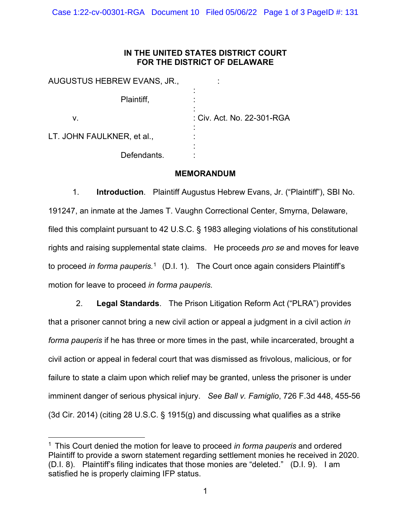## **IN THE UNITED STATES DISTRICT COURT FOR THE DISTRICT OF DELAWARE**

| AUGUSTUS HEBREW EVANS, JR., |                            |
|-----------------------------|----------------------------|
| Plaintiff,                  | ٠                          |
| v.                          | : Civ. Act. No. 22-301-RGA |
| LT. JOHN FAULKNER, et al.,  |                            |
| Defendants.                 |                            |

## **MEMORANDUM**

1. **Introduction**. Plaintiff Augustus Hebrew Evans, Jr. ("Plaintiff"), SBI No. 191247, an inmate at the James T. Vaughn Correctional Center, Smyrna, Delaware, filed this complaint pursuant to 42 U.S.C. § 1983 alleging violations of his constitutional rights and raising supplemental state claims. He proceeds *pro se* and moves for leave to proceed *in forma pauperis.*[1](#page-0-0) (D.I. 1). The Court once again considers Plaintiff's motion for leave to proceed *in forma pauperis*.

2. **Legal Standards**. The Prison Litigation Reform Act ("PLRA") provides that a prisoner cannot bring a new civil action or appeal a judgment in a civil action *in forma pauperis* if he has three or more times in the past, while incarcerated, brought a civil action or appeal in federal court that was dismissed as frivolous, malicious, or for failure to state a claim upon which relief may be granted, unless the prisoner is under imminent danger of serious physical injury. *See Ball v. Famiglio*, 726 F.3d 448, 455-56 (3d Cir. 2014) (citing 28 U.S.C. § 1915(g) and discussing what qualifies as a strike

<span id="page-0-0"></span><sup>1</sup> This Court denied the motion for leave to proceed *in forma pauperis* and ordered Plaintiff to provide a sworn statement regarding settlement monies he received in 2020. (D.I. 8). Plaintiff's filing indicates that those monies are "deleted." (D.I. 9). I am satisfied he is properly claiming IFP status.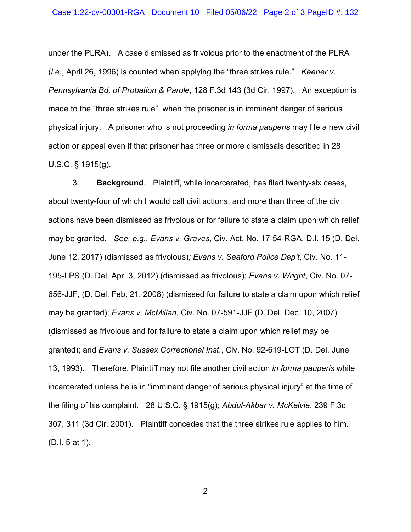under the PLRA). A case dismissed as frivolous prior to the enactment of the PLRA (*i.e*., April 26, 1996) is counted when applying the "three strikes rule." *Keener v. Pennsylvania Bd. of Probation & Parole*, 128 F.3d 143 (3d Cir. 1997). An exception is made to the "three strikes rule", when the prisoner is in imminent danger of serious physical injury. A prisoner who is not proceeding *in forma pauperis* may file a new civil action or appeal even if that prisoner has three or more dismissals described in 28 U.S.C. § 1915(g).

3. **Background**. Plaintiff, while incarcerated, has filed twenty-six cases, about twenty-four of which I would call civil actions, and more than three of the civil actions have been dismissed as frivolous or for failure to state a claim upon which relief may be granted. *See, e.g., Evans v. Graves,* Civ. Act. No. 17-54-RGA, D.I. 15 (D. Del. June 12, 2017) (dismissed as frivolous)*; Evans v. Seaford Police Dep't*, Civ. No. 11- 195-LPS (D. Del. Apr. 3, 2012) (dismissed as frivolous); *Evans v. Wright*, Civ. No. 07- 656-JJF, (D. Del. Feb. 21, 2008) (dismissed for failure to state a claim upon which relief may be granted); *Evans v. McMillan*, Civ. No. 07-591-JJF (D. Del. Dec. 10, 2007) (dismissed as frivolous and for failure to state a claim upon which relief may be granted); and *Evans v. Sussex Correctional Inst*., Civ. No. 92-619-LOT (D. Del. June 13, 1993). Therefore, Plaintiff may not file another civil action *in forma pauperis* while incarcerated unless he is in "imminent danger of serious physical injury" at the time of the filing of his complaint. 28 U.S.C. § 1915(g); *Abdul-Akbar v. McKelvie*, 239 F.3d 307, 311 (3d Cir. 2001). Plaintiff concedes that the three strikes rule applies to him. (D.I. 5 at 1).

2